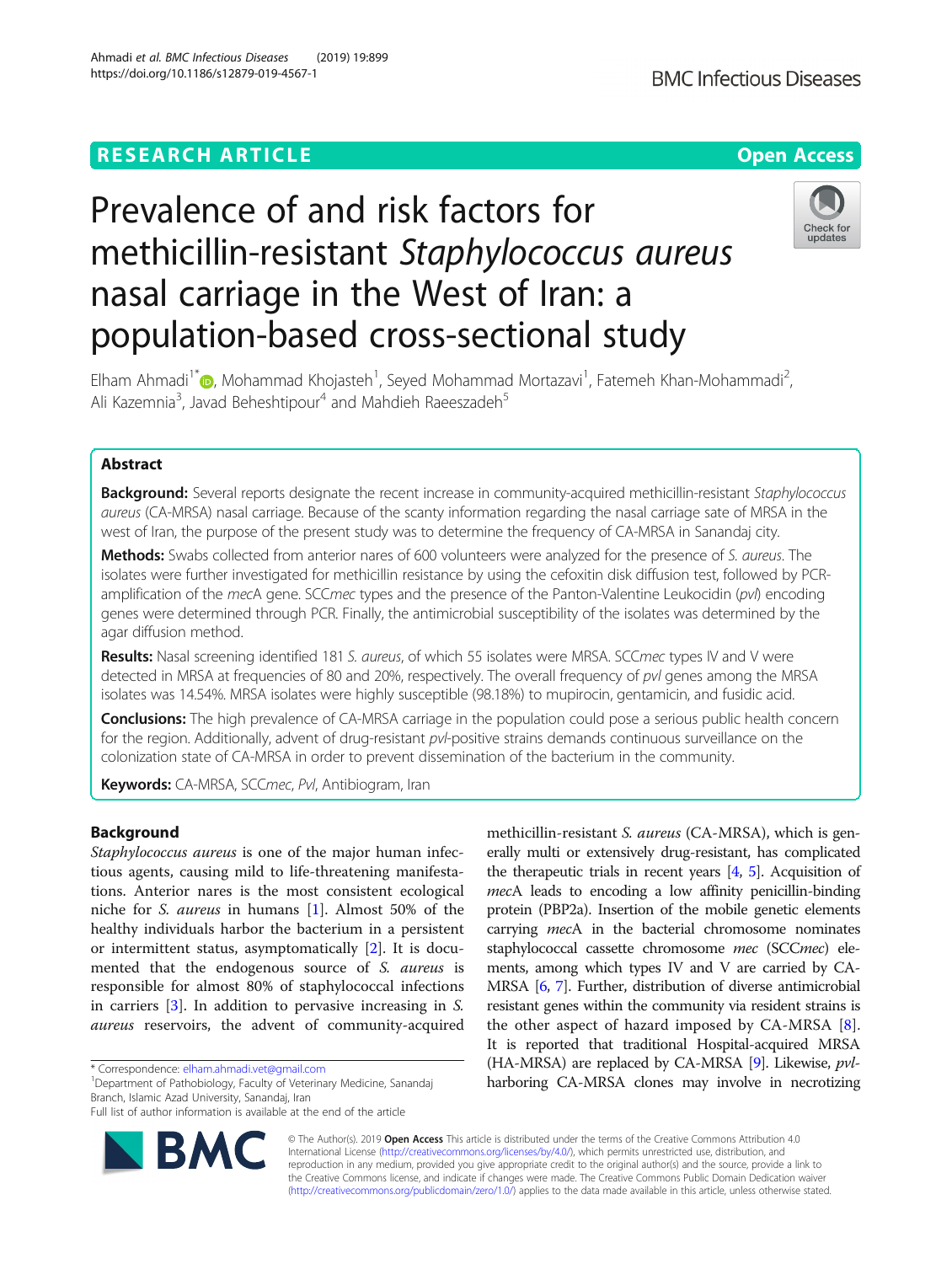# **RESEARCH ARTICLE Example 2014 12:30 The Contract of Contract ACCESS**



# Prevalence of and risk factors for methicillin-resistant Staphylococcus aureus nasal carriage in the West of Iran: a population-based cross-sectional study



Elham Ahmadi<sup>1\*</sup>@[,](http://orcid.org/0000-0003-1988-8524) Mohammad Khojasteh<sup>1</sup>, Seyed Mohammad Mortazavi<sup>1</sup>, Fatemeh Khan-Mohammadi<sup>2</sup> , Ali Kazemnia<sup>3</sup>, Javad Beheshtipour<sup>4</sup> and Mahdieh Raeeszadeh<sup>5</sup>

# Abstract

Background: Several reports designate the recent increase in community-acquired methicillin-resistant Staphylococcus aureus (CA-MRSA) nasal carriage. Because of the scanty information regarding the nasal carriage sate of MRSA in the west of Iran, the purpose of the present study was to determine the frequency of CA-MRSA in Sanandaj city.

Methods: Swabs collected from anterior nares of 600 volunteers were analyzed for the presence of S. aureus. The isolates were further investigated for methicillin resistance by using the cefoxitin disk diffusion test, followed by PCRamplification of the mecA gene. SCCmec types and the presence of the Panton-Valentine Leukocidin (pvl) encoding genes were determined through PCR. Finally, the antimicrobial susceptibility of the isolates was determined by the agar diffusion method.

Results: Nasal screening identified 181 S. aureus, of which 55 isolates were MRSA. SCCmec types IV and V were detected in MRSA at frequencies of 80 and 20%, respectively. The overall frequency of pvl genes among the MRSA isolates was 14.54%. MRSA isolates were highly susceptible (98.18%) to mupirocin, gentamicin, and fusidic acid.

**Conclusions:** The high prevalence of CA-MRSA carriage in the population could pose a serious public health concern for the region. Additionally, advent of drug-resistant pvl-positive strains demands continuous surveillance on the colonization state of CA-MRSA in order to prevent dissemination of the bacterium in the community.

Keywords: CA-MRSA, SCCmec, Pvl, Antibiogram, Iran

# Background

Staphylococcus aureus is one of the major human infectious agents, causing mild to life-threatening manifestations. Anterior nares is the most consistent ecological niche for S. aureus in humans [\[1](#page-6-0)]. Almost 50% of the healthy individuals harbor the bacterium in a persistent or intermittent status, asymptomatically [\[2](#page-6-0)]. It is documented that the endogenous source of S. aureus is responsible for almost 80% of staphylococcal infections in carriers [[3\]](#page-6-0). In addition to pervasive increasing in S. aureus reservoirs, the advent of community-acquired

Department of Pathobiology, Faculty of Veterinary Medicine, Sanandaj Branch, Islamic Azad University, Sanandaj, Iran

Full list of author information is available at the end of the article



methicillin-resistant *S. aureus* (CA-MRSA), which is generally multi or extensively drug-resistant, has complicated the therapeutic trials in recent years  $[4, 5]$  $[4, 5]$  $[4, 5]$  $[4, 5]$  $[4, 5]$ . Acquisition of mecA leads to encoding a low affinity penicillin-binding protein (PBP2a). Insertion of the mobile genetic elements carrying *mecA* in the bacterial chromosome nominates staphylococcal cassette chromosome mec (SCCmec) elements, among which types IV and V are carried by CA-MRSA [[6](#page-6-0), [7\]](#page-6-0). Further, distribution of diverse antimicrobial resistant genes within the community via resident strains is the other aspect of hazard imposed by  $CA-MRSA$   $[8]$  $[8]$ . It is reported that traditional Hospital-acquired MRSA (HA-MRSA) are replaced by CA-MRSA [\[9](#page-6-0)]. Likewise, pvlharboring CA-MRSA clones may involve in necrotizing

© The Author(s). 2019 **Open Access** This article is distributed under the terms of the Creative Commons Attribution 4.0 International License [\(http://creativecommons.org/licenses/by/4.0/](http://creativecommons.org/licenses/by/4.0/)), which permits unrestricted use, distribution, and reproduction in any medium, provided you give appropriate credit to the original author(s) and the source, provide a link to the Creative Commons license, and indicate if changes were made. The Creative Commons Public Domain Dedication waiver [\(http://creativecommons.org/publicdomain/zero/1.0/](http://creativecommons.org/publicdomain/zero/1.0/)) applies to the data made available in this article, unless otherwise stated.

<sup>\*</sup> Correspondence: [elham.ahmadi.vet@gmail.com](mailto:elham.ahmadi.vet@gmail.com) <sup>1</sup>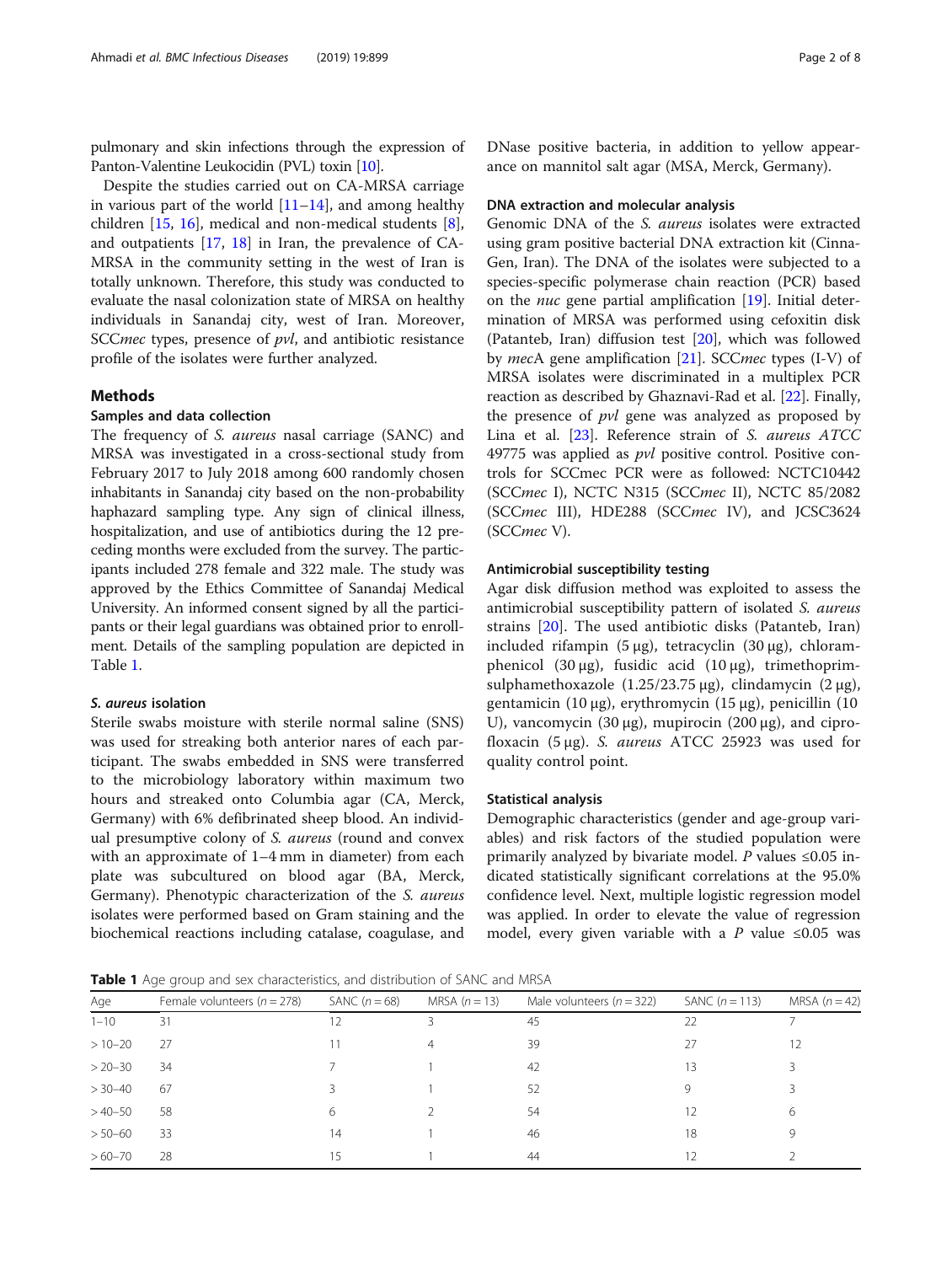<span id="page-1-0"></span>pulmonary and skin infections through the expression of Panton-Valentine Leukocidin (PVL) toxin [[10](#page-6-0)].

Despite the studies carried out on CA-MRSA carriage in various part of the world  $[11–14]$  $[11–14]$  $[11–14]$  $[11–14]$  $[11–14]$ , and among healthy children [[15,](#page-6-0) [16](#page-6-0)], medical and non-medical students [\[8](#page-6-0)], and outpatients [[17,](#page-6-0) [18\]](#page-6-0) in Iran, the prevalence of CA-MRSA in the community setting in the west of Iran is totally unknown. Therefore, this study was conducted to evaluate the nasal colonization state of MRSA on healthy individuals in Sanandaj city, west of Iran. Moreover, SCC*mec* types, presence of *pvl*, and antibiotic resistance profile of the isolates were further analyzed.

# Methods

## Samples and data collection

The frequency of S. aureus nasal carriage (SANC) and MRSA was investigated in a cross-sectional study from February 2017 to July 2018 among 600 randomly chosen inhabitants in Sanandaj city based on the non-probability haphazard sampling type. Any sign of clinical illness, hospitalization, and use of antibiotics during the 12 preceding months were excluded from the survey. The participants included 278 female and 322 male. The study was approved by the Ethics Committee of Sanandaj Medical University. An informed consent signed by all the participants or their legal guardians was obtained prior to enrollment. Details of the sampling population are depicted in Table 1.

#### S. aureus isolation

Sterile swabs moisture with sterile normal saline (SNS) was used for streaking both anterior nares of each participant. The swabs embedded in SNS were transferred to the microbiology laboratory within maximum two hours and streaked onto Columbia agar (CA, Merck, Germany) with 6% defibrinated sheep blood. An individual presumptive colony of S. aureus (round and convex with an approximate of 1–4 mm in diameter) from each plate was subcultured on blood agar (BA, Merck, Germany). Phenotypic characterization of the S. aureus isolates were performed based on Gram staining and the biochemical reactions including catalase, coagulase, and

DNase positive bacteria, in addition to yellow appearance on mannitol salt agar (MSA, Merck, Germany).

#### DNA extraction and molecular analysis

Genomic DNA of the S. aureus isolates were extracted using gram positive bacterial DNA extraction kit (Cinna-Gen, Iran). The DNA of the isolates were subjected to a species-specific polymerase chain reaction (PCR) based on the nuc gene partial amplification [\[19](#page-6-0)]. Initial determination of MRSA was performed using cefoxitin disk (Patanteb, Iran) diffusion test [\[20](#page-6-0)], which was followed by mecA gene amplification [\[21](#page-6-0)]. SCCmec types (I-V) of MRSA isolates were discriminated in a multiplex PCR reaction as described by Ghaznavi-Rad et al. [\[22](#page-6-0)]. Finally, the presence of *pvl* gene was analyzed as proposed by Lina et al. [\[23\]](#page-6-0). Reference strain of S. aureus ATCC 49775 was applied as pvl positive control. Positive controls for SCCmec PCR were as followed: NCTC10442 (SCCmec I), NCTC N315 (SCCmec II), NCTC 85/2082 (SCCmec III), HDE288 (SCCmec IV), and JCSC3624 (SCCmec V).

# Antimicrobial susceptibility testing

Agar disk diffusion method was exploited to assess the antimicrobial susceptibility pattern of isolated S. aureus strains [[20\]](#page-6-0). The used antibiotic disks (Patanteb, Iran) included rifampin (5 μg), tetracyclin (30 μg), chloramphenicol (30 μg), fusidic acid (10 μg), trimethoprimsulphamethoxazole  $(1.25/23.75 \,\mu$ g), clindamycin  $(2 \,\mu$ g), gentamicin (10 μg), erythromycin (15 μg), penicillin (10 U), vancomycin (30 μg), mupirocin (200 μg), and ciprofloxacin (5  $\mu$ g). S. *aureus* ATCC 25923 was used for quality control point.

# Statistical analysis

Demographic characteristics (gender and age-group variables) and risk factors of the studied population were primarily analyzed by bivariate model. P values  $\leq 0.05$  indicated statistically significant correlations at the 95.0% confidence level. Next, multiple logistic regression model was applied. In order to elevate the value of regression model, every given variable with a P value  $\leq 0.05$  was

**Table 1** Age group and sex characteristics, and distribution of SANC and MRSA

| Age         | Female volunteers ( $n = 278$ ) | SANC $(n=68)$ | MRSA $(n = 13)$ | Male volunteers ( $n = 322$ ) | SANC $(n = 113)$ | MRSA $(n=42)$ |
|-------------|---------------------------------|---------------|-----------------|-------------------------------|------------------|---------------|
| $1 - 10$    | 31                              | 12            |                 | 45                            | 22               |               |
| $>10-20$    | 27                              |               | 4               | 39                            | 27               | 12            |
| $> 20 - 30$ | 34                              |               |                 | 42                            | 13               |               |
| $> 30 - 40$ | 67                              |               |                 | -52                           | 9                |               |
| $>40 - 50$  | 58                              | 6             |                 | 54                            | 12               | 6             |
| $> 50 - 60$ | 33                              | 14            |                 | 46                            | 18               | 9             |
| $>60 - 70$  | 28                              | 15            |                 | 44                            | 12               |               |
|             |                                 |               |                 |                               |                  |               |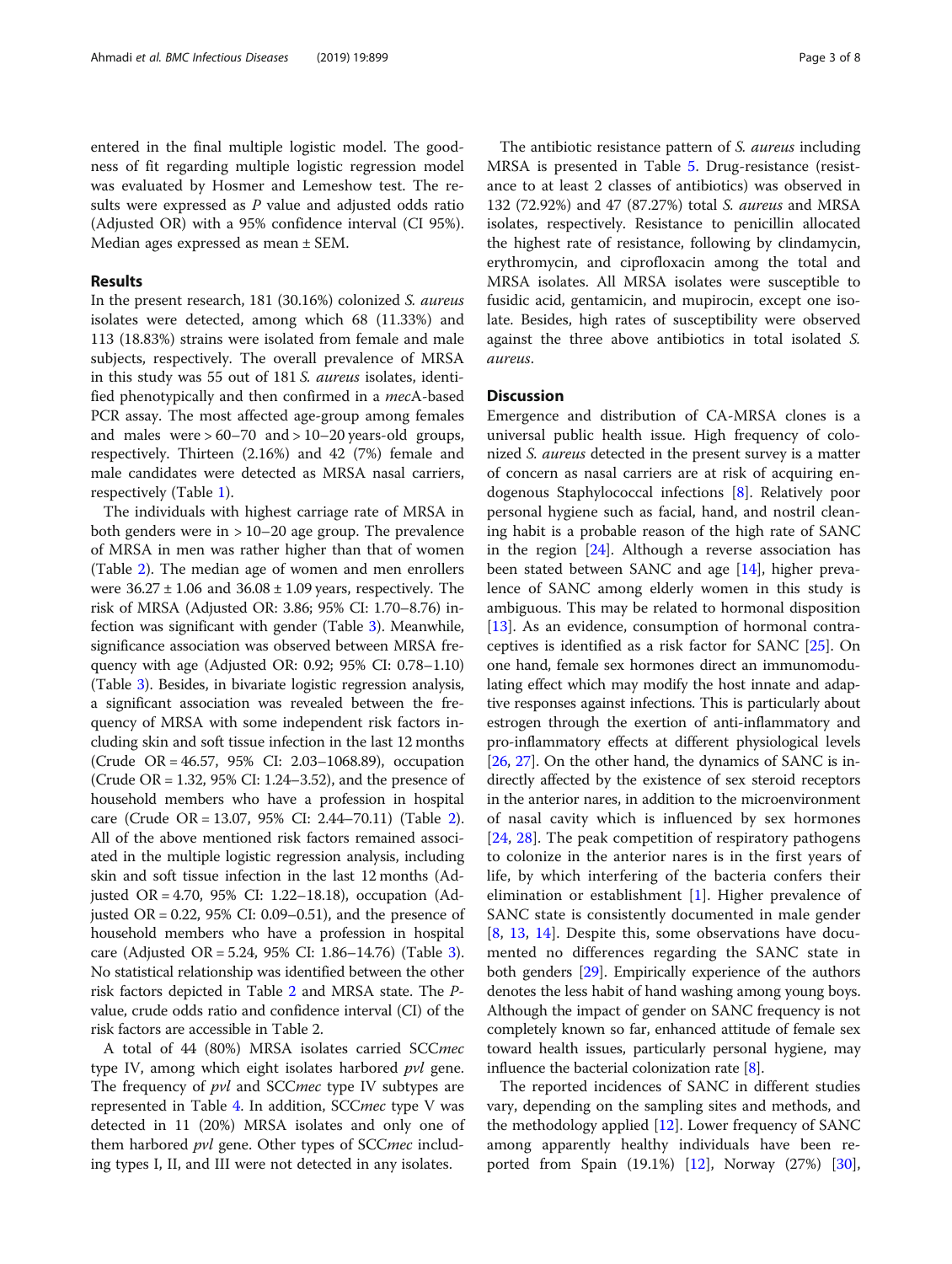entered in the final multiple logistic model. The goodness of fit regarding multiple logistic regression model was evaluated by Hosmer and Lemeshow test. The results were expressed as P value and adjusted odds ratio (Adjusted OR) with a 95% confidence interval (CI 95%). Median ages expressed as mean ± SEM.

# Results

In the present research, 181 (30.16%) colonized S. aureus isolates were detected, among which 68 (11.33%) and 113 (18.83%) strains were isolated from female and male subjects, respectively. The overall prevalence of MRSA in this study was 55 out of 181 S. aureus isolates, identified phenotypically and then confirmed in a mecA-based PCR assay. The most affected age-group among females and males were  $> 60-70$  and  $> 10-20$  years-old groups, respectively. Thirteen (2.16%) and 42 (7%) female and male candidates were detected as MRSA nasal carriers, respectively (Table [1](#page-1-0)).

The individuals with highest carriage rate of MRSA in both genders were in > 10–20 age group. The prevalence of MRSA in men was rather higher than that of women (Table [2](#page-3-0)). The median age of women and men enrollers were  $36.27 \pm 1.06$  and  $36.08 \pm 1.09$  years, respectively. The risk of MRSA (Adjusted OR: 3.86; 95% CI: 1.70–8.76) infection was significant with gender (Table [3\)](#page-4-0). Meanwhile, significance association was observed between MRSA frequency with age (Adjusted OR: 0.92; 95% CI: 0.78–1.10) (Table [3\)](#page-4-0). Besides, in bivariate logistic regression analysis, a significant association was revealed between the frequency of MRSA with some independent risk factors including skin and soft tissue infection in the last 12 months (Crude OR = 46.57, 95% CI: 2.03–1068.89), occupation (Crude OR = 1.32, 95% CI: 1.24–3.52), and the presence of household members who have a profession in hospital care (Crude OR = 13.07, 95% CI: 2.44–70.11) (Table [2](#page-3-0)). All of the above mentioned risk factors remained associated in the multiple logistic regression analysis, including skin and soft tissue infection in the last 12 months (Adjusted OR = 4.70, 95% CI: 1.22–18.18), occupation (Adjusted OR =  $0.22$ , 95% CI: 0.09–0.51), and the presence of household members who have a profession in hospital care (Adjusted OR = 5.24, 95% CI: 1.86–14.76) (Table [3](#page-4-0)). No statistical relationship was identified between the other risk factors depicted in Table [2](#page-3-0) and MRSA state. The Pvalue, crude odds ratio and confidence interval (CI) of the risk factors are accessible in Table 2.

A total of 44 (80%) MRSA isolates carried SCCmec type IV, among which eight isolates harbored pvl gene. The frequency of *pvl* and SCC*mec* type IV subtypes are represented in Table [4](#page-4-0). In addition, SCCmec type V was detected in 11 (20%) MRSA isolates and only one of them harbored *pvl* gene. Other types of SCC*mec* including types I, II, and III were not detected in any isolates.

The antibiotic resistance pattern of *S. aureus* including MRSA is presented in Table [5](#page-5-0). Drug-resistance (resistance to at least 2 classes of antibiotics) was observed in 132 (72.92%) and 47 (87.27%) total S. aureus and MRSA isolates, respectively. Resistance to penicillin allocated the highest rate of resistance, following by clindamycin, erythromycin, and ciprofloxacin among the total and MRSA isolates. All MRSA isolates were susceptible to fusidic acid, gentamicin, and mupirocin, except one isolate. Besides, high rates of susceptibility were observed against the three above antibiotics in total isolated S. aureus.

# **Discussion**

Emergence and distribution of CA-MRSA clones is a universal public health issue. High frequency of colonized S. aureus detected in the present survey is a matter of concern as nasal carriers are at risk of acquiring endogenous Staphylococcal infections [[8\]](#page-6-0). Relatively poor personal hygiene such as facial, hand, and nostril cleaning habit is a probable reason of the high rate of SANC in the region [\[24](#page-6-0)]. Although a reverse association has been stated between SANC and age [[14](#page-6-0)], higher prevalence of SANC among elderly women in this study is ambiguous. This may be related to hormonal disposition [[13\]](#page-6-0). As an evidence, consumption of hormonal contraceptives is identified as a risk factor for SANC [[25\]](#page-7-0). On one hand, female sex hormones direct an immunomodulating effect which may modify the host innate and adaptive responses against infections. This is particularly about estrogen through the exertion of anti-inflammatory and pro-inflammatory effects at different physiological levels [[26](#page-7-0), [27](#page-7-0)]. On the other hand, the dynamics of SANC is indirectly affected by the existence of sex steroid receptors in the anterior nares, in addition to the microenvironment of nasal cavity which is influenced by sex hormones [[24,](#page-6-0) [28](#page-7-0)]. The peak competition of respiratory pathogens to colonize in the anterior nares is in the first years of life, by which interfering of the bacteria confers their elimination or establishment [\[1](#page-6-0)]. Higher prevalence of SANC state is consistently documented in male gender [[8](#page-6-0), [13,](#page-6-0) [14\]](#page-6-0). Despite this, some observations have documented no differences regarding the SANC state in both genders [\[29\]](#page-7-0). Empirically experience of the authors denotes the less habit of hand washing among young boys. Although the impact of gender on SANC frequency is not completely known so far, enhanced attitude of female sex toward health issues, particularly personal hygiene, may influence the bacterial colonization rate [\[8](#page-6-0)].

The reported incidences of SANC in different studies vary, depending on the sampling sites and methods, and the methodology applied [\[12](#page-6-0)]. Lower frequency of SANC among apparently healthy individuals have been reported from Spain (19.1%) [[12\]](#page-6-0), Norway (27%) [\[30](#page-7-0)],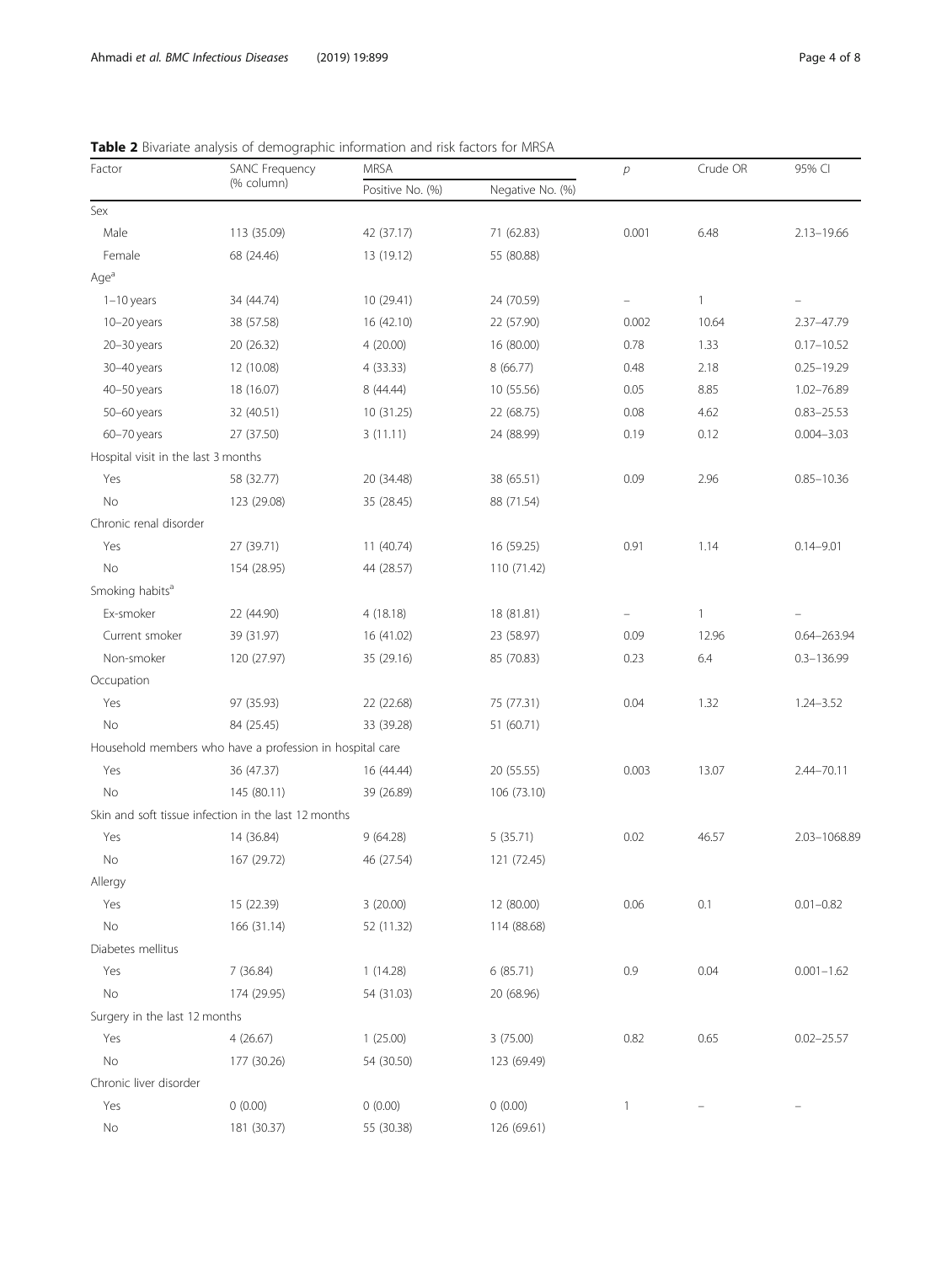| Factor                              | <b>SANC Frequency</b>                                    | <b>MRSA</b>      |                  | $\overline{p}$    | Crude OR     | 95% CI          |  |
|-------------------------------------|----------------------------------------------------------|------------------|------------------|-------------------|--------------|-----------------|--|
|                                     | (% column)                                               | Positive No. (%) | Negative No. (%) |                   |              |                 |  |
| Sex                                 |                                                          |                  |                  |                   |              |                 |  |
| Male                                | 113 (35.09)                                              | 42 (37.17)       | 71 (62.83)       | 0.001             | 6.48         | $2.13 - 19.66$  |  |
| Female                              | 68 (24.46)                                               | 13 (19.12)       | 55 (80.88)       |                   |              |                 |  |
| Age <sup>a</sup>                    |                                                          |                  |                  |                   |              |                 |  |
| $1-10$ years                        | 34 (44.74)                                               | 10 (29.41)       | 24 (70.59)       | $\qquad \qquad -$ | $\mathbf{1}$ |                 |  |
| $10-20$ years                       | 38 (57.58)                                               | 16 (42.10)       | 22 (57.90)       | 0.002             | 10.64        | 2.37-47.79      |  |
| $20 - 30$ years                     | 20 (26.32)                                               | 4(20.00)         | 16 (80.00)       | 0.78              | 1.33         | $0.17 - 10.52$  |  |
| 30-40 years                         | 12 (10.08)                                               | 4(33.33)         | 8(66.77)         | 0.48              | 2.18         | $0.25 - 19.29$  |  |
| 40-50 years                         | 18 (16.07)                                               | 8 (44.44)        | 10 (55.56)       | 0.05              | 8.85         | 1.02-76.89      |  |
| 50-60 years                         | 32 (40.51)                                               | 10 (31.25)       | 22 (68.75)       | 0.08              | 4.62         | $0.83 - 25.53$  |  |
| 60-70 years                         | 27 (37.50)                                               | 3(11.11)         | 24 (88.99)       | 0.19              | 0.12         | $0.004 - 3.03$  |  |
| Hospital visit in the last 3 months |                                                          |                  |                  |                   |              |                 |  |
| Yes                                 | 58 (32.77)                                               | 20 (34.48)       | 38 (65.51)       | 0.09              | 2.96         | $0.85 - 10.36$  |  |
| No                                  | 123 (29.08)                                              | 35 (28.45)       | 88 (71.54)       |                   |              |                 |  |
| Chronic renal disorder              |                                                          |                  |                  |                   |              |                 |  |
| Yes                                 | 27 (39.71)                                               | 11 (40.74)       | 16 (59.25)       | 0.91              | 1.14         | $0.14 - 9.01$   |  |
| No                                  | 154 (28.95)                                              | 44 (28.57)       | 110 (71.42)      |                   |              |                 |  |
| Smoking habits <sup>a</sup>         |                                                          |                  |                  |                   |              |                 |  |
| Ex-smoker                           | 22 (44.90)                                               | 4(18.18)         | 18 (81.81)       |                   | $\mathbf{1}$ |                 |  |
| Current smoker                      | 39 (31.97)                                               | 16 (41.02)       | 23 (58.97)       | 0.09              | 12.96        | $0.64 - 263.94$ |  |
| Non-smoker                          | 120 (27.97)                                              | 35 (29.16)       | 85 (70.83)       | 0.23              | 6.4          | $0.3 - 136.99$  |  |
| Occupation                          |                                                          |                  |                  |                   |              |                 |  |
| Yes                                 | 97 (35.93)                                               | 22 (22.68)       | 75 (77.31)       | 0.04              | 1.32         | $1.24 - 3.52$   |  |
| No                                  | 84 (25.45)                                               | 33 (39.28)       | 51 (60.71)       |                   |              |                 |  |
|                                     | Household members who have a profession in hospital care |                  |                  |                   |              |                 |  |
| Yes                                 | 36 (47.37)                                               | 16 (44.44)       | 20 (55.55)       | 0.003             | 13.07        | $2.44 - 70.11$  |  |
| No                                  | 145 (80.11)                                              | 39 (26.89)       | 106 (73.10)      |                   |              |                 |  |
|                                     | Skin and soft tissue infection in the last 12 months     |                  |                  |                   |              |                 |  |
| Yes                                 | 14 (36.84)                                               | 9(64.28)         | 5(35.71)         | 0.02              | 46.57        | 2.03-1068.89    |  |
| No                                  | 167 (29.72)                                              | 46 (27.54)       | 121 (72.45)      |                   |              |                 |  |
| Allergy                             |                                                          |                  |                  |                   |              |                 |  |
| Yes                                 | 15 (22.39)                                               | 3(20.00)         | 12 (80.00)       | 0.06              | 0.1          | $0.01 - 0.82$   |  |
| No                                  | 166 (31.14)                                              | 52 (11.32)       | 114 (88.68)      |                   |              |                 |  |
| Diabetes mellitus                   |                                                          |                  |                  |                   |              |                 |  |
| Yes                                 | 7 (36.84)                                                | 1(14.28)         | 6(85.71)         | 0.9               | 0.04         | $0.001 - 1.62$  |  |
| No                                  | 174 (29.95)                                              | 54 (31.03)       | 20 (68.96)       |                   |              |                 |  |
| Surgery in the last 12 months       |                                                          |                  |                  |                   |              |                 |  |
| Yes                                 | 4(26.67)                                                 | 1(25.00)         | 3 (75.00)        | 0.82              | 0.65         | $0.02 - 25.57$  |  |
| No                                  | 177 (30.26)                                              | 54 (30.50)       | 123 (69.49)      |                   |              |                 |  |
| Chronic liver disorder              |                                                          |                  |                  |                   |              |                 |  |
| Yes                                 | 0(0.00)                                                  | 0(0.00)          | 0(0.00)          | $\mathbf{1}$      |              |                 |  |
| No                                  | 181 (30.37)                                              | 55 (30.38)       | 126 (69.61)      |                   |              |                 |  |
|                                     |                                                          |                  |                  |                   |              |                 |  |

<span id="page-3-0"></span>Table 2 Bivariate analysis of demographic information and risk factors for MRSA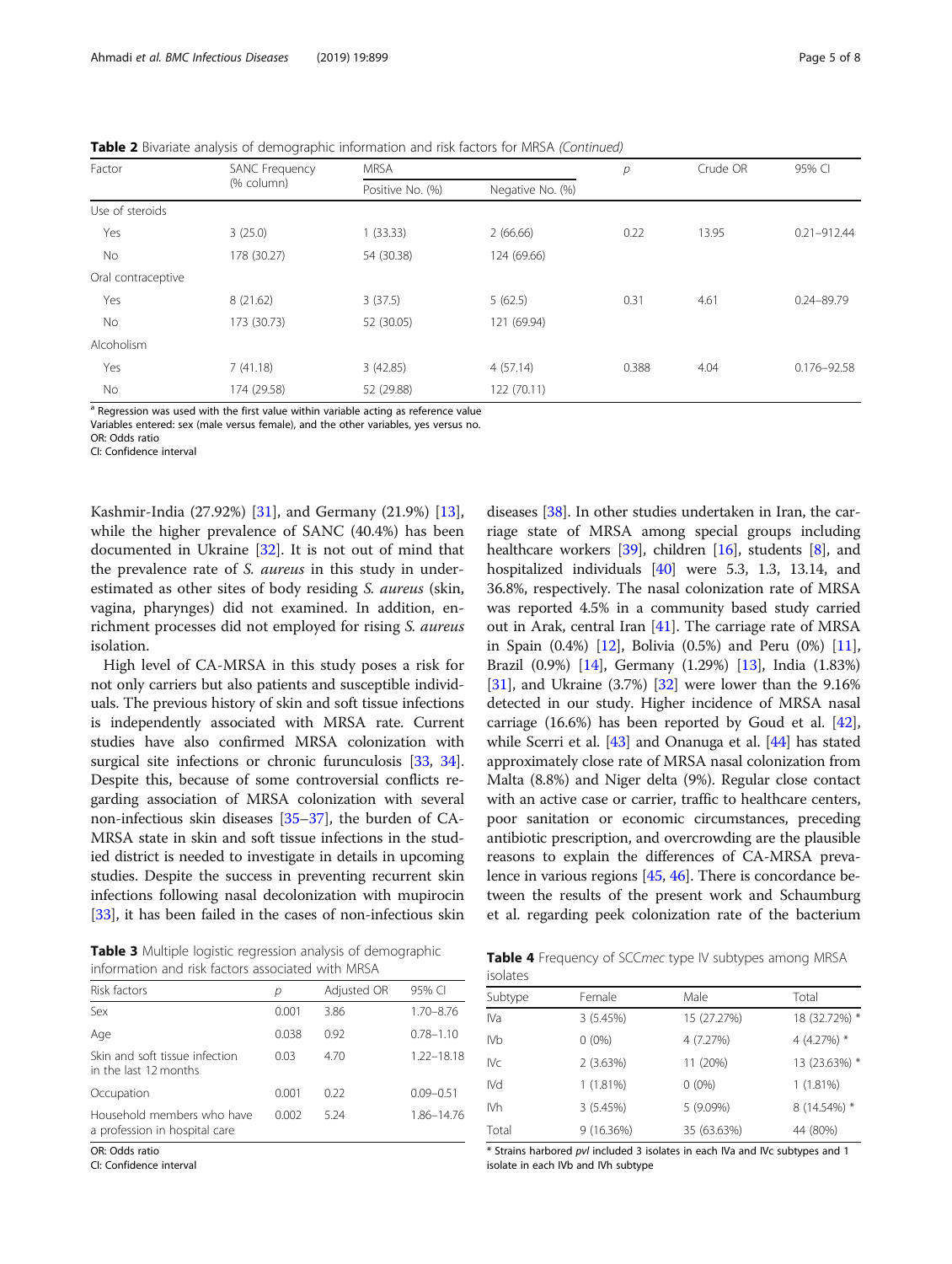<span id="page-4-0"></span>

| Table 2 Bivariate analysis of demographic information and risk factors for MRSA (Continued) |  |  |  |
|---------------------------------------------------------------------------------------------|--|--|--|
|                                                                                             |  |  |  |

| Factor             | SANC Frequency | <b>MRSA</b>      |                  | р     | Crude OR | 95% CI          |  |
|--------------------|----------------|------------------|------------------|-------|----------|-----------------|--|
|                    | (% column)     | Positive No. (%) | Negative No. (%) |       |          |                 |  |
| Use of steroids    |                |                  |                  |       |          |                 |  |
| Yes                | 3(25.0)        | 1(33.33)         | 2(66.66)         | 0.22  | 13.95    | $0.21 - 912.44$ |  |
| No                 | 178 (30.27)    | 54 (30.38)       | 124 (69.66)      |       |          |                 |  |
| Oral contraceptive |                |                  |                  |       |          |                 |  |
| Yes                | 8(21.62)       | 3(37.5)          | 5(62.5)          | 0.31  | 4.61     | $0.24 - 89.79$  |  |
| No                 | 173 (30.73)    | 52 (30.05)       | 121 (69.94)      |       |          |                 |  |
| Alcoholism         |                |                  |                  |       |          |                 |  |
| Yes                | 7(41.18)       | 3(42.85)         | 4(57.14)         | 0.388 | 4.04     | $0.176 - 92.58$ |  |
| No                 | 174 (29.58)    | 52 (29.88)       | 122 (70.11)      |       |          |                 |  |

Regression was used with the first value within variable acting as reference value

Variables entered: sex (male versus female), and the other variables, yes versus no.

OR: Odds ratio CI: Confidence interval

Kashmir-India (27.92%) [[31](#page-7-0)], and Germany (21.9%) [\[13](#page-6-0)], while the higher prevalence of SANC (40.4%) has been documented in Ukraine [[32\]](#page-7-0). It is not out of mind that the prevalence rate of S. aureus in this study in underestimated as other sites of body residing S. aureus (skin, vagina, pharynges) did not examined. In addition, enrichment processes did not employed for rising S. aureus isolation.

High level of CA-MRSA in this study poses a risk for not only carriers but also patients and susceptible individuals. The previous history of skin and soft tissue infections is independently associated with MRSA rate. Current studies have also confirmed MRSA colonization with surgical site infections or chronic furunculosis [\[33,](#page-7-0) [34](#page-7-0)]. Despite this, because of some controversial conflicts regarding association of MRSA colonization with several non-infectious skin diseases [[35](#page-7-0)–[37\]](#page-7-0), the burden of CA-MRSA state in skin and soft tissue infections in the studied district is needed to investigate in details in upcoming studies. Despite the success in preventing recurrent skin infections following nasal decolonization with mupirocin [[33](#page-7-0)], it has been failed in the cases of non-infectious skin

diseases [\[38](#page-7-0)]. In other studies undertaken in Iran, the carriage state of MRSA among special groups including healthcare workers [[39](#page-7-0)], children [\[16\]](#page-6-0), students [\[8](#page-6-0)], and hospitalized individuals [[40](#page-7-0)] were 5.3, 1.3, 13.14, and 36.8%, respectively. The nasal colonization rate of MRSA was reported 4.5% in a community based study carried out in Arak, central Iran [\[41](#page-7-0)]. The carriage rate of MRSA in Spain (0.4%) [\[12\]](#page-6-0), Bolivia (0.5%) and Peru (0%) [[11](#page-6-0)], Brazil (0.9%) [\[14\]](#page-6-0), Germany (1.29%) [\[13\]](#page-6-0), India (1.83%) [[31](#page-7-0)], and Ukraine (3.7%) [\[32\]](#page-7-0) were lower than the 9.16% detected in our study. Higher incidence of MRSA nasal carriage (16.6%) has been reported by Goud et al. [[42](#page-7-0)], while Scerri et al. [[43\]](#page-7-0) and Onanuga et al. [\[44\]](#page-7-0) has stated approximately close rate of MRSA nasal colonization from Malta (8.8%) and Niger delta (9%). Regular close contact with an active case or carrier, traffic to healthcare centers, poor sanitation or economic circumstances, preceding antibiotic prescription, and overcrowding are the plausible reasons to explain the differences of CA-MRSA prevalence in various regions [[45](#page-7-0), [46\]](#page-7-0). There is concordance between the results of the present work and Schaumburg et al. regarding peek colonization rate of the bacterium

Table 3 Multiple logistic regression analysis of demographic information and risk factors associated with MRSA

| Risk factors                                                | р     | Adjusted OR | 95% CI        |
|-------------------------------------------------------------|-------|-------------|---------------|
| Sex                                                         | 0.001 | 3.86        | $1.70 - 8.76$ |
| Age                                                         | 0.038 | 0.92        | $0.78 - 1.10$ |
| Skin and soft tissue infection<br>in the last 12 months     | 0.03  | 470         | 1.22-18.18    |
| Occupation                                                  | 0.001 | 0.22        | $0.09 - 0.51$ |
| Household members who have<br>a profession in hospital care | 0.002 | 5 24        | 1.86-14.76    |
|                                                             |       |             |               |

OR: Odds ratio

CI: Confidence interval

Table 4 Frequency of SCCmec type IV subtypes among MRSA isolates

| Subtype         | Female    | Male        | Total         |
|-----------------|-----------|-------------|---------------|
| IVa             | 3(5.45%)  | 15 (27.27%) | 18 (32.72%) * |
| IV <sub>b</sub> | $0(0\%)$  | 4 (7.27%)   | 4 (4.27%) *   |
| IV <sub>C</sub> | 2(3.63%)  | 11 (20%)    | 13 (23.63%) * |
| IVd             | 1(1.81%)  | $0(0\%)$    | 1(1.81%)      |
| IVh             | 3(5.45%)  | 5(9.09%)    | 8 (14.54%) *  |
| Total           | 9(16.36%) | 35 (63.63%) | 44 (80%)      |
|                 |           |             |               |

\* Strains harbored pvl included 3 isolates in each IVa and IVc subtypes and 1 isolate in each IVb and IVh subtype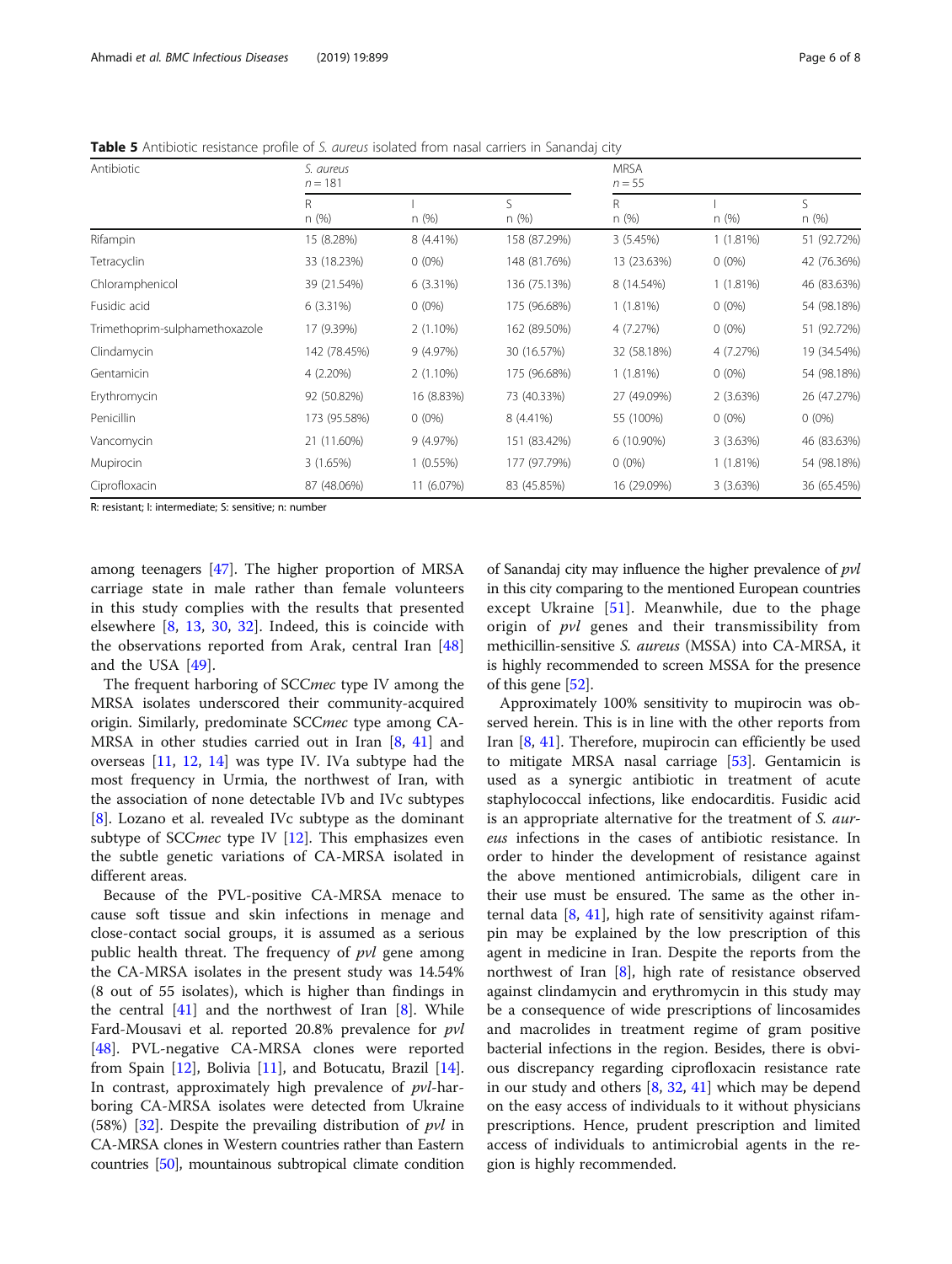<span id="page-5-0"></span>Table 5 Antibiotic resistance profile of S. aureus isolated from nasal carriers in Sanandaj city

| Antibiotic                     | S. aureus<br>$n = 181$ |             |              | <b>MRSA</b><br>$n = 55$ |             |             |
|--------------------------------|------------------------|-------------|--------------|-------------------------|-------------|-------------|
|                                | R<br>n(%)              | n(%)        | S<br>n(%)    | R<br>n (%)              | n(%)        | S<br>n (%)  |
| Rifampin                       | 15 (8.28%)             | 8 (4.41%)   | 158 (87.29%) | 3(5.45%)                | 1(1.81%)    | 51 (92.72%) |
| Tetracyclin                    | 33 (18.23%)            | $0(0\%)$    | 148 (81.76%) | 13 (23.63%)             | $0(0\%)$    | 42 (76.36%) |
| Chloramphenicol                | 39 (21.54%)            | 6 (3.31%)   | 136 (75.13%) | 8 (14.54%)              | $1(1.81\%)$ | 46 (83.63%) |
| Fusidic acid                   | $6(3.31\%)$            | $0(0\%)$    | 175 (96.68%) | 1(1.81%)                | $0(0\%)$    | 54 (98.18%) |
| Trimethoprim-sulphamethoxazole | 17 (9.39%)             | $2(1.10\%)$ | 162 (89.50%) | 4 (7.27%)               | $0(0\%)$    | 51 (92.72%) |
| Clindamycin                    | 142 (78.45%)           | 9(4.97%)    | 30 (16.57%)  | 32 (58.18%)             | 4 (7.27%)   | 19 (34.54%) |
| Gentamicin                     | 4 (2.20%)              | $2(1.10\%)$ | 175 (96.68%) | 1(1.81%)                | $0(0\%)$    | 54 (98.18%) |
| Erythromycin                   | 92 (50.82%)            | 16 (8.83%)  | 73 (40.33%)  | 27 (49.09%)             | 2(3.63%)    | 26 (47.27%) |
| Penicillin                     | 173 (95.58%)           | $0(0\%)$    | 8 (4.41%)    | 55 (100%)               | $0(0\%)$    | $0(0\%)$    |
| Vancomycin                     | 21 (11.60%)            | 9(4.97%)    | 151 (83.42%) | $6(10.90\%)$            | 3(3.63%)    | 46 (83.63%) |
| Mupirocin                      | 3(1.65%)               | 1(0.55%)    | 177 (97.79%) | $0(0\%)$                | 1(1.81%)    | 54 (98.18%) |
| Ciprofloxacin                  | 87 (48.06%)            | 11 (6.07%)  | 83 (45.85%)  | 16 (29.09%)             | 3(3.63%)    | 36 (65.45%) |

R: resistant; I: intermediate; S: sensitive; n: number

among teenagers [[47](#page-7-0)]. The higher proportion of MRSA carriage state in male rather than female volunteers in this study complies with the results that presented elsewhere [[8,](#page-6-0) [13](#page-6-0), [30,](#page-7-0) [32\]](#page-7-0). Indeed, this is coincide with the observations reported from Arak, central Iran [\[48](#page-7-0)] and the USA [[49\]](#page-7-0).

The frequent harboring of SCCmec type IV among the MRSA isolates underscored their community-acquired origin. Similarly, predominate SCCmec type among CA-MRSA in other studies carried out in Iran [[8,](#page-6-0) [41\]](#page-7-0) and overseas [\[11,](#page-6-0) [12](#page-6-0), [14](#page-6-0)] was type IV. IVa subtype had the most frequency in Urmia, the northwest of Iran, with the association of none detectable IVb and IVc subtypes [[8\]](#page-6-0). Lozano et al. revealed IVc subtype as the dominant subtype of SCC*mec* type IV  $[12]$  $[12]$ . This emphasizes even the subtle genetic variations of CA-MRSA isolated in different areas.

Because of the PVL-positive CA-MRSA menace to cause soft tissue and skin infections in menage and close-contact social groups, it is assumed as a serious public health threat. The frequency of  $pvl$  gene among the CA-MRSA isolates in the present study was 14.54% (8 out of 55 isolates), which is higher than findings in the central  $[41]$  $[41]$  and the northwest of Iran  $[8]$  $[8]$  $[8]$ . While Fard-Mousavi et al. reported 20.8% prevalence for pvl [[48\]](#page-7-0). PVL-negative CA-MRSA clones were reported from Spain  $[12]$  $[12]$ , Bolivia  $[11]$  $[11]$ , and Botucatu, Brazil  $[14]$  $[14]$ . In contrast, approximately high prevalence of pvl-harboring CA-MRSA isolates were detected from Ukraine (58%) [\[32\]](#page-7-0). Despite the prevailing distribution of  $pvl$  in CA-MRSA clones in Western countries rather than Eastern countries [[50](#page-7-0)], mountainous subtropical climate condition of Sanandaj city may influence the higher prevalence of pvl in this city comparing to the mentioned European countries except Ukraine [\[51\]](#page-7-0). Meanwhile, due to the phage origin of *pvl* genes and their transmissibility from methicillin-sensitive S. aureus (MSSA) into CA-MRSA, it is highly recommended to screen MSSA for the presence of this gene [[52](#page-7-0)].

Approximately 100% sensitivity to mupirocin was observed herein. This is in line with the other reports from Iran  $[8, 41]$  $[8, 41]$  $[8, 41]$  $[8, 41]$ . Therefore, mupirocin can efficiently be used to mitigate MRSA nasal carriage [[53\]](#page-7-0). Gentamicin is used as a synergic antibiotic in treatment of acute staphylococcal infections, like endocarditis. Fusidic acid is an appropriate alternative for the treatment of S. aureus infections in the cases of antibiotic resistance. In order to hinder the development of resistance against the above mentioned antimicrobials, diligent care in their use must be ensured. The same as the other internal data  $[8, 41]$  $[8, 41]$  $[8, 41]$  $[8, 41]$  $[8, 41]$ , high rate of sensitivity against rifampin may be explained by the low prescription of this agent in medicine in Iran. Despite the reports from the northwest of Iran  $[8]$  $[8]$ , high rate of resistance observed against clindamycin and erythromycin in this study may be a consequence of wide prescriptions of lincosamides and macrolides in treatment regime of gram positive bacterial infections in the region. Besides, there is obvious discrepancy regarding ciprofloxacin resistance rate in our study and others [[8](#page-6-0), [32](#page-7-0), [41](#page-7-0)] which may be depend on the easy access of individuals to it without physicians prescriptions. Hence, prudent prescription and limited access of individuals to antimicrobial agents in the region is highly recommended.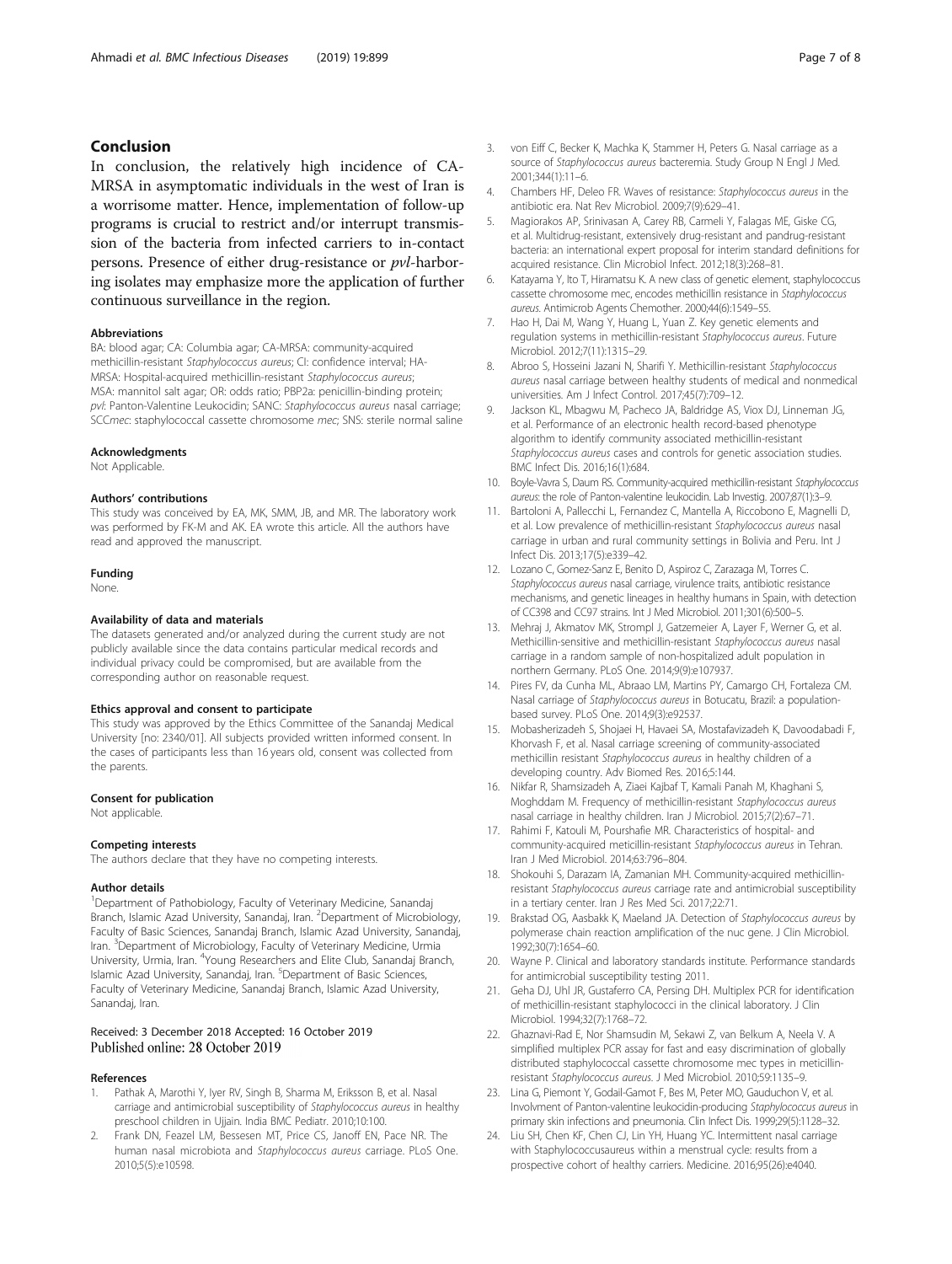# <span id="page-6-0"></span>Conclusion

In conclusion, the relatively high incidence of CA-MRSA in asymptomatic individuals in the west of Iran is a worrisome matter. Hence, implementation of follow-up programs is crucial to restrict and/or interrupt transmission of the bacteria from infected carriers to in-contact persons. Presence of either drug-resistance or pvl-harboring isolates may emphasize more the application of further continuous surveillance in the region.

#### Abbreviations

BA: blood agar; CA: Columbia agar; CA-MRSA: community-acquired methicillin-resistant Staphylococcus aureus; CI: confidence interval; HA-MRSA: Hospital-acquired methicillin-resistant Staphylococcus aureus; MSA: mannitol salt agar; OR: odds ratio; PBP2a: penicillin-binding protein; pvl: Panton-Valentine Leukocidin; SANC: Staphylococcus aureus nasal carriage; SCCmec: staphylococcal cassette chromosome mec; SNS: sterile normal saline

# Acknowledgments

Not Applicable.

#### Authors' contributions

This study was conceived by EA, MK, SMM, JB, and MR. The laboratory work was performed by FK-M and AK. EA wrote this article. All the authors have read and approved the manuscript.

# Funding

None.

## Availability of data and materials

The datasets generated and/or analyzed during the current study are not publicly available since the data contains particular medical records and individual privacy could be compromised, but are available from the corresponding author on reasonable request.

#### Ethics approval and consent to participate

This study was approved by the Ethics Committee of the Sanandaj Medical University [no: 2340/01]. All subjects provided written informed consent. In the cases of participants less than 16 years old, consent was collected from the parents.

#### Consent for publication

Not applicable.

#### Competing interests

The authors declare that they have no competing interests.

#### Author details

<sup>1</sup>Department of Pathobiology, Faculty of Veterinary Medicine, Sanandaj Branch, Islamic Azad University, Sanandaj, Iran. <sup>2</sup> Department of Microbiology, Faculty of Basic Sciences, Sanandaj Branch, Islamic Azad University, Sanandaj, Iran. <sup>3</sup> Department of Microbiology, Faculty of Veterinary Medicine, Urmia University, Urmia, Iran. <sup>4</sup>Young Researchers and Elite Club, Sanandaj Branch, Islamic Azad University, Sanandaj, Iran. <sup>5</sup>Department of Basic Sciences, Faculty of Veterinary Medicine, Sanandaj Branch, Islamic Azad University, Sanandaj, Iran.

# Received: 3 December 2018 Accepted: 16 October 2019 Published online: 28 October 2019

## References

- Pathak A, Marothi Y, Iyer RV, Singh B, Sharma M, Eriksson B, et al. Nasal carriage and antimicrobial susceptibility of Staphylococcus aureus in healthy preschool children in Ujjain. India BMC Pediatr. 2010;10:100.
- 2. Frank DN, Feazel LM, Bessesen MT, Price CS, Janoff EN, Pace NR. The human nasal microbiota and Staphylococcus aureus carriage. PLoS One. 2010;5(5):e10598.
- 3. von Eiff C, Becker K, Machka K, Stammer H, Peters G. Nasal carriage as a source of Staphylococcus aureus bacteremia. Study Group N Engl J Med. 2001;344(1):11–6.
- 4. Chambers HF, Deleo FR. Waves of resistance: Staphylococcus aureus in the antibiotic era. Nat Rev Microbiol. 2009;7(9):629–41.
- 5. Magiorakos AP, Srinivasan A, Carey RB, Carmeli Y, Falagas ME, Giske CG, et al. Multidrug-resistant, extensively drug-resistant and pandrug-resistant bacteria: an international expert proposal for interim standard definitions for acquired resistance. Clin Microbiol Infect. 2012;18(3):268–81.
- 6. Katayama Y, Ito T, Hiramatsu K. A new class of genetic element, staphylococcus cassette chromosome mec, encodes methicillin resistance in Staphylococcus aureus. Antimicrob Agents Chemother. 2000;44(6):1549–55.
- 7. Hao H, Dai M, Wang Y, Huang L, Yuan Z. Key genetic elements and regulation systems in methicillin-resistant Staphylococcus aureus. Future Microbiol. 2012;7(11):1315–29.
- 8. Abroo S, Hosseini Jazani N, Sharifi Y. Methicillin-resistant Staphylococcus aureus nasal carriage between healthy students of medical and nonmedical universities. Am J Infect Control. 2017;45(7):709–12.
- 9. Jackson KL, Mbagwu M, Pacheco JA, Baldridge AS, Viox DJ, Linneman JG, et al. Performance of an electronic health record-based phenotype algorithm to identify community associated methicillin-resistant Staphylococcus aureus cases and controls for genetic association studies. BMC Infect Dis. 2016;16(1):684.
- 10. Boyle-Vavra S, Daum RS. Community-acquired methicillin-resistant Staphylococcus aureus: the role of Panton-valentine leukocidin. Lab Investig. 2007;87(1):3–9.
- 11. Bartoloni A, Pallecchi L, Fernandez C, Mantella A, Riccobono E, Magnelli D, et al. Low prevalence of methicillin-resistant Staphylococcus aureus nasal carriage in urban and rural community settings in Bolivia and Peru. Int J Infect Dis. 2013;17(5):e339–42.
- 12. Lozano C, Gomez-Sanz E, Benito D, Aspiroz C, Zarazaga M, Torres C. Staphylococcus aureus nasal carriage, virulence traits, antibiotic resistance mechanisms, and genetic lineages in healthy humans in Spain, with detection of CC398 and CC97 strains. Int J Med Microbiol. 2011;301(6):500–5.
- 13. Mehraj J, Akmatov MK, Strompl J, Gatzemeier A, Layer F, Werner G, et al. Methicillin-sensitive and methicillin-resistant Staphylococcus aureus nasal carriage in a random sample of non-hospitalized adult population in northern Germany. PLoS One. 2014;9(9):e107937.
- 14. Pires FV, da Cunha ML, Abraao LM, Martins PY, Camargo CH, Fortaleza CM. Nasal carriage of Staphylococcus aureus in Botucatu, Brazil: a populationbased survey. PLoS One. 2014;9(3):e92537.
- 15. Mobasherizadeh S, Shojaei H, Havaei SA, Mostafavizadeh K, Davoodabadi F, Khorvash F, et al. Nasal carriage screening of community-associated methicillin resistant Staphylococcus aureus in healthy children of a developing country. Adv Biomed Res. 2016;5:144.
- 16. Nikfar R, Shamsizadeh A, Ziaei Kajbaf T, Kamali Panah M, Khaghani S, Moghddam M. Frequency of methicillin-resistant Staphylococcus aureus nasal carriage in healthy children. Iran J Microbiol. 2015;7(2):67–71.
- 17. Rahimi F, Katouli M, Pourshafie MR. Characteristics of hospital- and community-acquired meticillin-resistant Staphylococcus aureus in Tehran. Iran J Med Microbiol. 2014;63:796–804.
- 18. Shokouhi S, Darazam IA, Zamanian MH. Community-acquired methicillinresistant Staphylococcus aureus carriage rate and antimicrobial susceptibility in a tertiary center. Iran J Res Med Sci. 2017;22:71.
- 19. Brakstad OG, Aasbakk K, Maeland JA. Detection of Staphylococcus aureus by polymerase chain reaction amplification of the nuc gene. J Clin Microbiol. 1992;30(7):1654–60.
- 20. Wayne P. Clinical and laboratory standards institute. Performance standards for antimicrobial susceptibility testing 2011.
- 21. Geha DJ, Uhl JR, Gustaferro CA, Persing DH. Multiplex PCR for identification of methicillin-resistant staphylococci in the clinical laboratory. J Clin Microbiol. 1994;32(7):1768–72.
- 22. Ghaznavi-Rad E, Nor Shamsudin M, Sekawi Z, van Belkum A, Neela V. A simplified multiplex PCR assay for fast and easy discrimination of globally distributed staphylococcal cassette chromosome mec types in meticillinresistant Staphylococcus aureus. J Med Microbiol. 2010;59:1135–9.
- 23. Lina G, Piemont Y, Godail-Gamot F, Bes M, Peter MO, Gauduchon V, et al. Involvment of Panton-valentine leukocidin-producing Staphylococcus aureus in primary skin infections and pneumonia. Clin Infect Dis. 1999;29(5):1128–32.
- 24. Liu SH, Chen KF, Chen CJ, Lin YH, Huang YC. Intermittent nasal carriage with Staphylococcusaureus within a menstrual cycle: results from a prospective cohort of healthy carriers. Medicine. 2016;95(26):e4040.